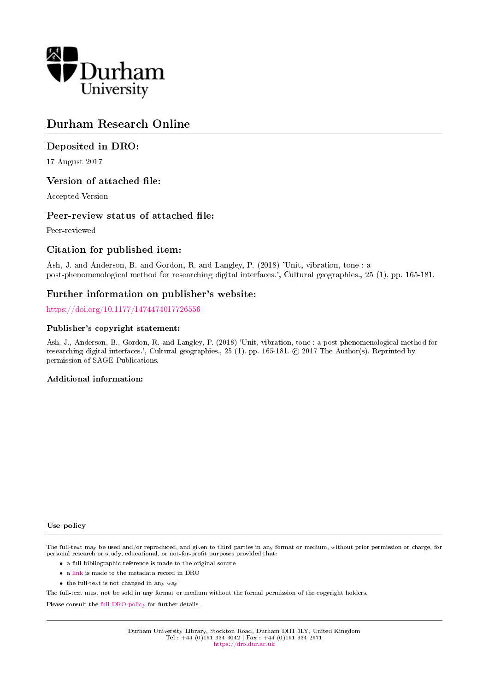

# Durham Research Online

# Deposited in DRO:

17 August 2017

# Version of attached file:

Accepted Version

# Peer-review status of attached file:

Peer-reviewed

# Citation for published item:

Ash, J. and Anderson, B. and Gordon, R. and Langley, P. (2018) 'Unit, vibration, tone : a post-phenomenological method for researching digital interfaces.', Cultural geographies., 25 (1). pp. 165-181.

# Further information on publisher's website:

<https://doi.org/10.1177/1474474017726556>

#### Publisher's copyright statement:

Ash, J., Anderson, B., Gordon, R. and Langley, P. (2018) 'Unit, vibration, tone : a post-phenomenological method for researching digital interfaces.', Cultural geographies., 25 (1). pp. 165-181. © 2017 The Author(s). Reprinted by permission of SAGE Publications.

#### Additional information:

Use policy

The full-text may be used and/or reproduced, and given to third parties in any format or medium, without prior permission or charge, for personal research or study, educational, or not-for-profit purposes provided that:

- a full bibliographic reference is made to the original source
- a [link](http://dro.dur.ac.uk/22626/) is made to the metadata record in DRO
- the full-text is not changed in any way

The full-text must not be sold in any format or medium without the formal permission of the copyright holders.

Please consult the [full DRO policy](https://dro.dur.ac.uk/policies/usepolicy.pdf) for further details.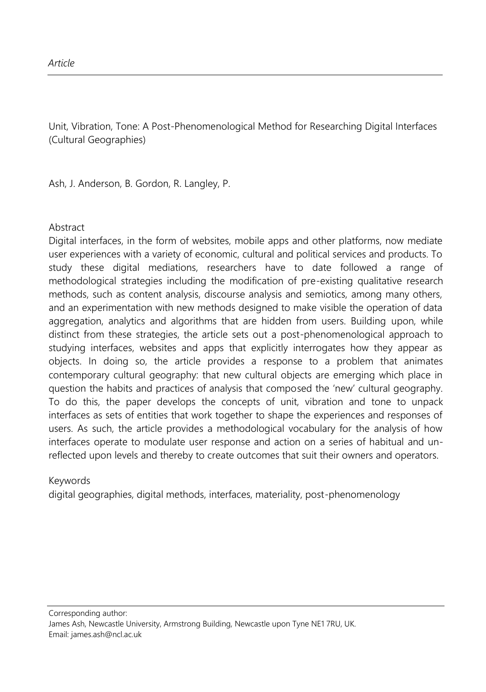Unit, Vibration, Tone: A Post-Phenomenological Method for Researching Digital Interfaces (Cultural Geographies)

Ash, J. Anderson, B. Gordon, R. Langley, P.

#### Abstract

Digital interfaces, in the form of websites, mobile apps and other platforms, now mediate user experiences with a variety of economic, cultural and political services and products. To study these digital mediations, researchers have to date followed a range of methodological strategies including the modification of pre-existing qualitative research methods, such as content analysis, discourse analysis and semiotics, among many others, and an experimentation with new methods designed to make visible the operation of data aggregation, analytics and algorithms that are hidden from users. Building upon, while distinct from these strategies, the article sets out a post-phenomenological approach to studying interfaces, websites and apps that explicitly interrogates how they appear as objects. In doing so, the article provides a response to a problem that animates contemporary cultural geography: that new cultural objects are emerging which place in question the habits and practices of analysis that composed the 'new' cultural geography. To do this, the paper develops the concepts of unit, vibration and tone to unpack interfaces as sets of entities that work together to shape the experiences and responses of users. As such, the article provides a methodological vocabulary for the analysis of how interfaces operate to modulate user response and action on a series of habitual and unreflected upon levels and thereby to create outcomes that suit their owners and operators.

#### Keywords

digital geographies, digital methods, interfaces, materiality, post-phenomenology

Corresponding author: James Ash, Newcastle University, Armstrong Building, Newcastle upon Tyne NE1 7RU, UK. Email: james.ash@ncl.ac.uk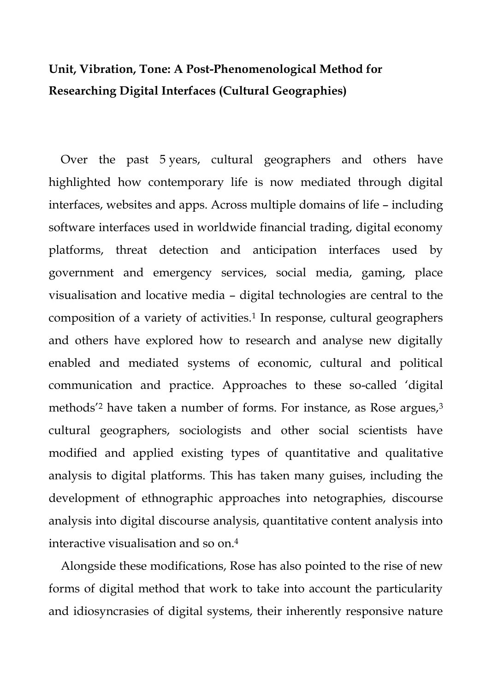# **Unit, Vibration, Tone: A Post-Phenomenological Method for Researching Digital Interfaces (Cultural Geographies)**

Over the past 5 years, cultural geographers and others have highlighted how contemporary life is now mediated through digital interfaces, websites and apps. Across multiple domains of life – including software interfaces used in worldwide financial trading, digital economy platforms, threat detection and anticipation interfaces used by government and emergency services, social media, gaming, place visualisation and locative media – digital technologies are central to the composition of a variety of activities.<sup>1</sup> In response, cultural geographers and others have explored how to research and analyse new digitally enabled and mediated systems of economic, cultural and political communication and practice. Approaches to these so-called 'digital methods<sup>'2</sup> have taken a number of forms. For instance, as Rose argues,<sup>3</sup> cultural geographers, sociologists and other social scientists have modified and applied existing types of quantitative and qualitative analysis to digital platforms. This has taken many guises, including the development of ethnographic approaches into netographies, discourse analysis into digital discourse analysis, quantitative content analysis into interactive visualisation and so on.<sup>4</sup>

Alongside these modifications, Rose has also pointed to the rise of new forms of digital method that work to take into account the particularity and idiosyncrasies of digital systems, their inherently responsive nature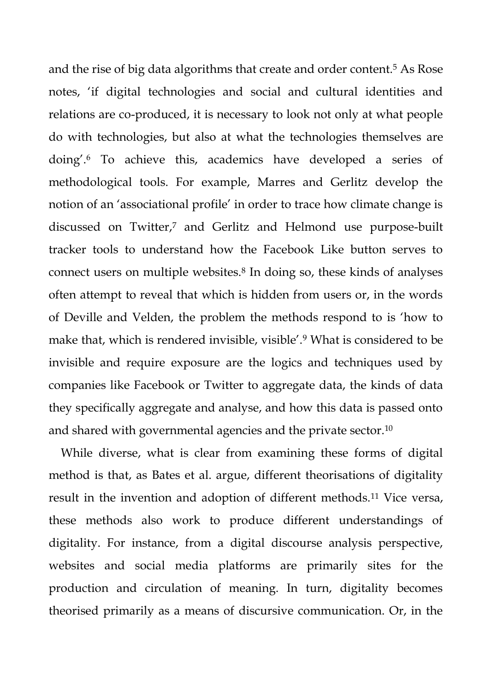and the rise of big data algorithms that create and order content.<sup>5</sup> As Rose notes, 'if digital technologies and social and cultural identities and relations are co-produced, it is necessary to look not only at what people do with technologies, but also at what the technologies themselves are doing'.<sup>6</sup> To achieve this, academics have developed a series of methodological tools. For example, Marres and Gerlitz develop the notion of an 'associational profile' in order to trace how climate change is discussed on Twitter,<sup>7</sup> and Gerlitz and Helmond use purpose-built tracker tools to understand how the Facebook Like button serves to connect users on multiple websites.<sup>8</sup> In doing so, these kinds of analyses often attempt to reveal that which is hidden from users or, in the words of Deville and Velden, the problem the methods respond to is 'how to make that, which is rendered invisible, visible'.<sup>9</sup> What is considered to be invisible and require exposure are the logics and techniques used by companies like Facebook or Twitter to aggregate data, the kinds of data they specifically aggregate and analyse, and how this data is passed onto and shared with governmental agencies and the private sector.<sup>10</sup>

While diverse, what is clear from examining these forms of digital method is that, as Bates et al. argue, different theorisations of digitality result in the invention and adoption of different methods.<sup>11</sup> Vice versa, these methods also work to produce different understandings of digitality. For instance, from a digital discourse analysis perspective, websites and social media platforms are primarily sites for the production and circulation of meaning. In turn, digitality becomes theorised primarily as a means of discursive communication. Or, in the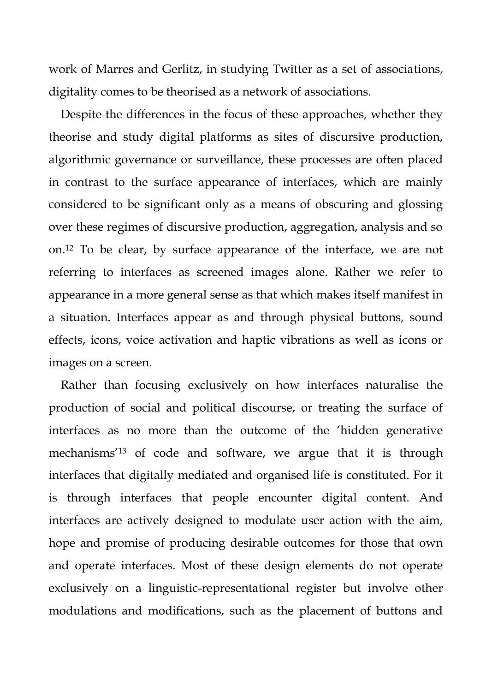work of Marres and Gerlitz, in studying Twitter as a set of associations, digitality comes to be theorised as a network of associations.

Despite the differences in the focus of these approaches, whether they theorise and study digital platforms as sites of discursive production, algorithmic governance or surveillance, these processes are often placed in contrast to the surface appearance of interfaces, which are mainly considered to be significant only as a means of obscuring and glossing over these regimes of discursive production, aggregation, analysis and so on.<sup>12</sup> To be clear, by surface appearance of the interface, we are not referring to interfaces as screened images alone. Rather we refer to appearance in a more general sense as that which makes itself manifest in a situation. Interfaces appear as and through physical buttons, sound effects, icons, voice activation and haptic vibrations as well as icons or images on a screen.

Rather than focusing exclusively on how interfaces naturalise the production of social and political discourse, or treating the surface of interfaces as no more than the outcome of the 'hidden generative mechanisms'<sup>13</sup> of code and software, we argue that it is through interfaces that digitally mediated and organised life is constituted. For it is through interfaces that people encounter digital content. And interfaces are actively designed to modulate user action with the aim, hope and promise of producing desirable outcomes for those that own and operate interfaces. Most of these design elements do not operate exclusively on a linguistic-representational register but involve other modulations and modifications, such as the placement of buttons and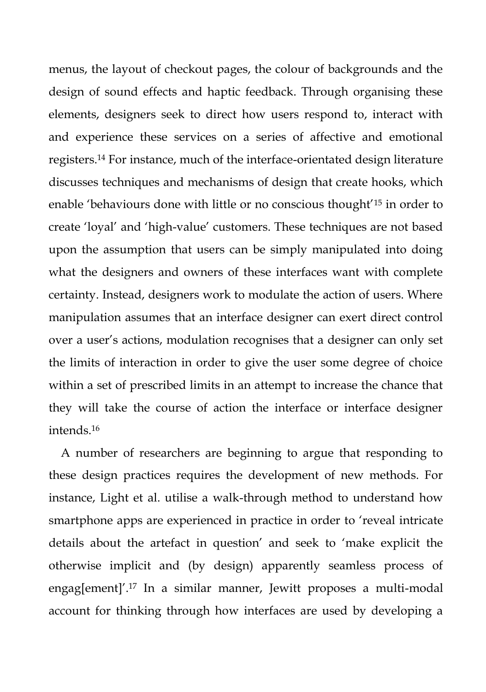menus, the layout of checkout pages, the colour of backgrounds and the design of sound effects and haptic feedback. Through organising these elements, designers seek to direct how users respond to, interact with and experience these services on a series of affective and emotional registers.<sup>14</sup> For instance, much of the interface-orientated design literature discusses techniques and mechanisms of design that create hooks, which enable 'behaviours done with little or no conscious thought<sup>'15</sup> in order to create 'loyal' and 'high-value' customers. These techniques are not based upon the assumption that users can be simply manipulated into doing what the designers and owners of these interfaces want with complete certainty. Instead, designers work to modulate the action of users. Where manipulation assumes that an interface designer can exert direct control over a user's actions, modulation recognises that a designer can only set the limits of interaction in order to give the user some degree of choice within a set of prescribed limits in an attempt to increase the chance that they will take the course of action the interface or interface designer intends.<sup>16</sup>

A number of researchers are beginning to argue that responding to these design practices requires the development of new methods. For instance, Light et al. utilise a walk-through method to understand how smartphone apps are experienced in practice in order to 'reveal intricate details about the artefact in question' and seek to 'make explicit the otherwise implicit and (by design) apparently seamless process of engag[ement]'.<sup>17</sup> In a similar manner, Jewitt proposes a multi-modal account for thinking through how interfaces are used by developing a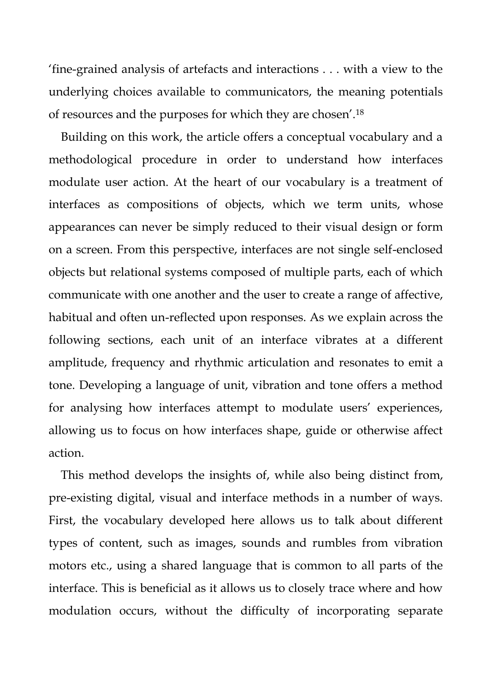'fine-grained analysis of artefacts and interactions . . . with a view to the underlying choices available to communicators, the meaning potentials of resources and the purposes for which they are chosen'.<sup>18</sup>

Building on this work, the article offers a conceptual vocabulary and a methodological procedure in order to understand how interfaces modulate user action. At the heart of our vocabulary is a treatment of interfaces as compositions of objects, which we term units, whose appearances can never be simply reduced to their visual design or form on a screen. From this perspective, interfaces are not single self-enclosed objects but relational systems composed of multiple parts, each of which communicate with one another and the user to create a range of affective, habitual and often un-reflected upon responses. As we explain across the following sections, each unit of an interface vibrates at a different amplitude, frequency and rhythmic articulation and resonates to emit a tone. Developing a language of unit, vibration and tone offers a method for analysing how interfaces attempt to modulate users' experiences, allowing us to focus on how interfaces shape, guide or otherwise affect action.

This method develops the insights of, while also being distinct from, pre-existing digital, visual and interface methods in a number of ways. First, the vocabulary developed here allows us to talk about different types of content, such as images, sounds and rumbles from vibration motors etc., using a shared language that is common to all parts of the interface. This is beneficial as it allows us to closely trace where and how modulation occurs, without the difficulty of incorporating separate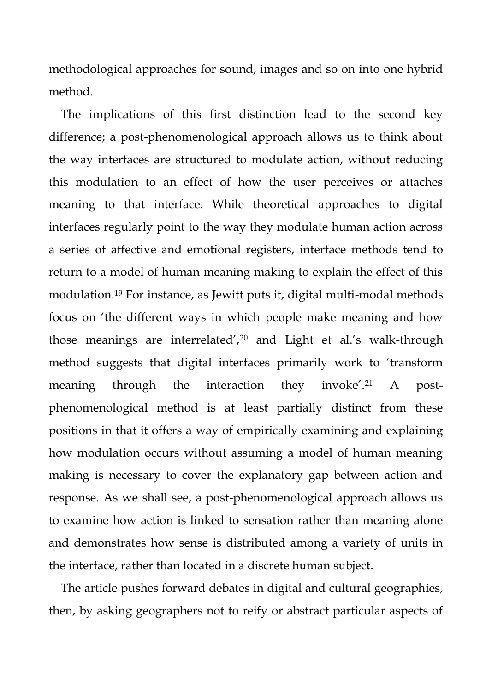methodological approaches for sound, images and so on into one hybrid method.

The implications of this first distinction lead to the second key difference; a post-phenomenological approach allows us to think about the way interfaces are structured to modulate action, without reducing this modulation to an effect of how the user perceives or attaches meaning to that interface. While theoretical approaches to digital interfaces regularly point to the way they modulate human action across a series of affective and emotional registers, interface methods tend to return to a model of human meaning making to explain the effect of this modulation.<sup>19</sup> For instance, as Jewitt puts it, digital multi-modal methods focus on 'the different ways in which people make meaning and how those meanings are interrelated',<sup>20</sup> and Light et al.'s walk-through method suggests that digital interfaces primarily work to 'transform meaning through the interaction they invoke'.<sup>21</sup> A postphenomenological method is at least partially distinct from these positions in that it offers a way of empirically examining and explaining how modulation occurs without assuming a model of human meaning making is necessary to cover the explanatory gap between action and response. As we shall see, a post-phenomenological approach allows us to examine how action is linked to sensation rather than meaning alone and demonstrates how sense is distributed among a variety of units in the interface, rather than located in a discrete human subject.

The article pushes forward debates in digital and cultural geographies, then, by asking geographers not to reify or abstract particular aspects of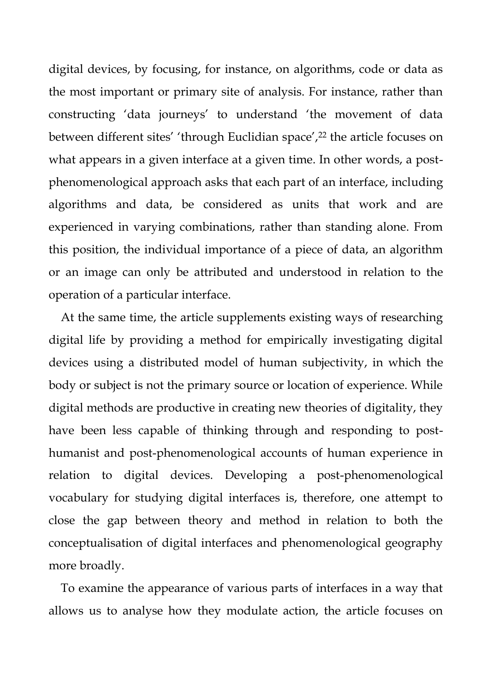digital devices, by focusing, for instance, on algorithms, code or data as the most important or primary site of analysis. For instance, rather than constructing 'data journeys' to understand 'the movement of data between different sites' 'through Euclidian space',<sup>22</sup> the article focuses on what appears in a given interface at a given time. In other words, a postphenomenological approach asks that each part of an interface, including algorithms and data, be considered as units that work and are experienced in varying combinations, rather than standing alone. From this position, the individual importance of a piece of data, an algorithm or an image can only be attributed and understood in relation to the operation of a particular interface.

At the same time, the article supplements existing ways of researching digital life by providing a method for empirically investigating digital devices using a distributed model of human subjectivity, in which the body or subject is not the primary source or location of experience. While digital methods are productive in creating new theories of digitality, they have been less capable of thinking through and responding to posthumanist and post-phenomenological accounts of human experience in relation to digital devices. Developing a post-phenomenological vocabulary for studying digital interfaces is, therefore, one attempt to close the gap between theory and method in relation to both the conceptualisation of digital interfaces and phenomenological geography more broadly.

To examine the appearance of various parts of interfaces in a way that allows us to analyse how they modulate action, the article focuses on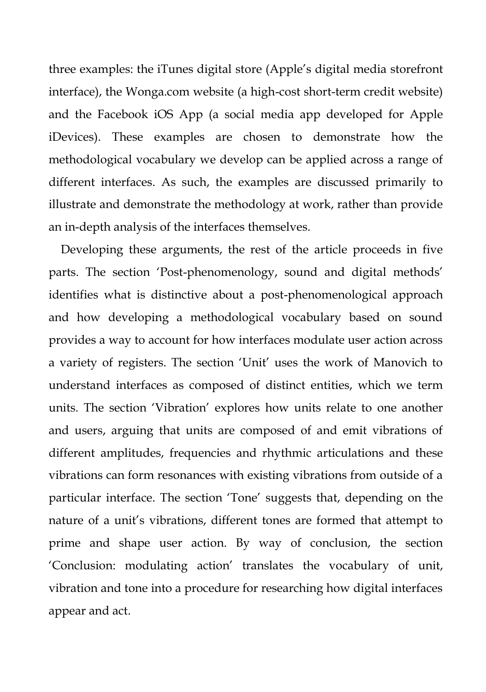three examples: the iTunes digital store (Apple's digital media storefront interface), the Wonga.com website (a high-cost short-term credit website) and the Facebook iOS App (a social media app developed for Apple iDevices). These examples are chosen to demonstrate how the methodological vocabulary we develop can be applied across a range of different interfaces. As such, the examples are discussed primarily to illustrate and demonstrate the methodology at work, rather than provide an in-depth analysis of the interfaces themselves.

Developing these arguments, the rest of the article proceeds in five parts. The section 'Post-phenomenology, sound and digital methods' identifies what is distinctive about a post-phenomenological approach and how developing a methodological vocabulary based on sound provides a way to account for how interfaces modulate user action across a variety of registers. The section 'Unit' uses the work of Manovich to understand interfaces as composed of distinct entities, which we term units. The section 'Vibration' explores how units relate to one another and users, arguing that units are composed of and emit vibrations of different amplitudes, frequencies and rhythmic articulations and these vibrations can form resonances with existing vibrations from outside of a particular interface. The section 'Tone' suggests that, depending on the nature of a unit's vibrations, different tones are formed that attempt to prime and shape user action. By way of conclusion, the section 'Conclusion: modulating action' translates the vocabulary of unit, vibration and tone into a procedure for researching how digital interfaces appear and act.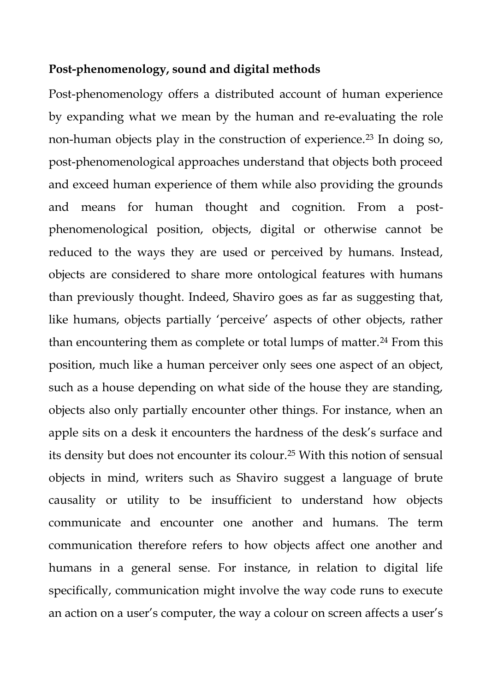#### **Post-phenomenology, sound and digital methods**

Post-phenomenology offers a distributed account of human experience by expanding what we mean by the human and re-evaluating the role non-human objects play in the construction of experience.<sup>23</sup> In doing so, post-phenomenological approaches understand that objects both proceed and exceed human experience of them while also providing the grounds and means for human thought and cognition. From a postphenomenological position, objects, digital or otherwise cannot be reduced to the ways they are used or perceived by humans. Instead, objects are considered to share more ontological features with humans than previously thought. Indeed, Shaviro goes as far as suggesting that, like humans, objects partially 'perceive' aspects of other objects, rather than encountering them as complete or total lumps of matter.<sup>24</sup> From this position, much like a human perceiver only sees one aspect of an object, such as a house depending on what side of the house they are standing, objects also only partially encounter other things. For instance, when an apple sits on a desk it encounters the hardness of the desk's surface and its density but does not encounter its colour.<sup>25</sup> With this notion of sensual objects in mind, writers such as Shaviro suggest a language of brute causality or utility to be insufficient to understand how objects communicate and encounter one another and humans. The term communication therefore refers to how objects affect one another and humans in a general sense. For instance, in relation to digital life specifically, communication might involve the way code runs to execute an action on a user's computer, the way a colour on screen affects a user's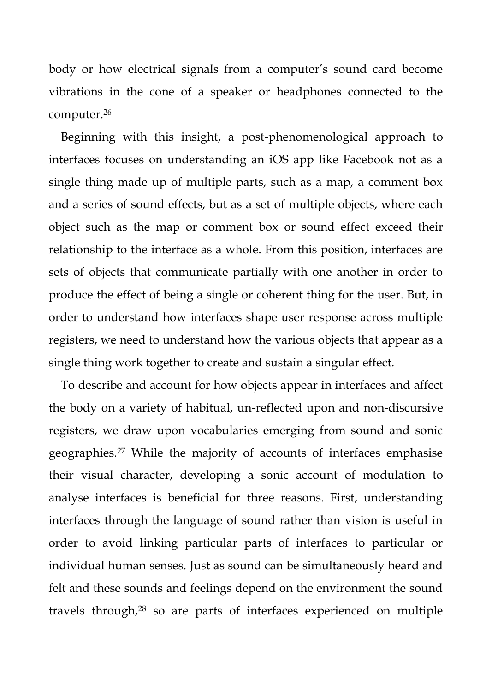body or how electrical signals from a computer's sound card become vibrations in the cone of a speaker or headphones connected to the computer.<sup>26</sup>

Beginning with this insight, a post-phenomenological approach to interfaces focuses on understanding an iOS app like Facebook not as a single thing made up of multiple parts, such as a map, a comment box and a series of sound effects, but as a set of multiple objects, where each object such as the map or comment box or sound effect exceed their relationship to the interface as a whole. From this position, interfaces are sets of objects that communicate partially with one another in order to produce the effect of being a single or coherent thing for the user. But, in order to understand how interfaces shape user response across multiple registers, we need to understand how the various objects that appear as a single thing work together to create and sustain a singular effect.

To describe and account for how objects appear in interfaces and affect the body on a variety of habitual, un-reflected upon and non-discursive registers, we draw upon vocabularies emerging from sound and sonic geographies.<sup>27</sup> While the majority of accounts of interfaces emphasise their visual character, developing a sonic account of modulation to analyse interfaces is beneficial for three reasons. First, understanding interfaces through the language of sound rather than vision is useful in order to avoid linking particular parts of interfaces to particular or individual human senses. Just as sound can be simultaneously heard and felt and these sounds and feelings depend on the environment the sound travels through,<sup>28</sup> so are parts of interfaces experienced on multiple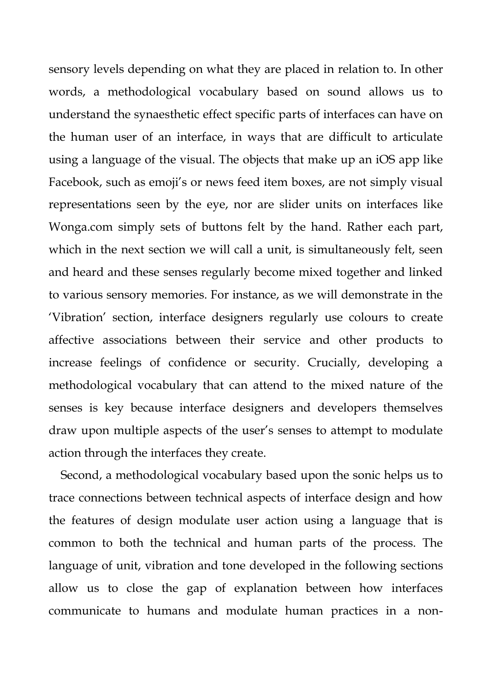sensory levels depending on what they are placed in relation to. In other words, a methodological vocabulary based on sound allows us to understand the synaesthetic effect specific parts of interfaces can have on the human user of an interface, in ways that are difficult to articulate using a language of the visual. The objects that make up an iOS app like Facebook, such as emoji's or news feed item boxes, are not simply visual representations seen by the eye, nor are slider units on interfaces like Wonga.com simply sets of buttons felt by the hand. Rather each part, which in the next section we will call a unit, is simultaneously felt, seen and heard and these senses regularly become mixed together and linked to various sensory memories. For instance, as we will demonstrate in the 'Vibration' section, interface designers regularly use colours to create affective associations between their service and other products to increase feelings of confidence or security. Crucially, developing a methodological vocabulary that can attend to the mixed nature of the senses is key because interface designers and developers themselves draw upon multiple aspects of the user's senses to attempt to modulate action through the interfaces they create.

Second, a methodological vocabulary based upon the sonic helps us to trace connections between technical aspects of interface design and how the features of design modulate user action using a language that is common to both the technical and human parts of the process. The language of unit, vibration and tone developed in the following sections allow us to close the gap of explanation between how interfaces communicate to humans and modulate human practices in a non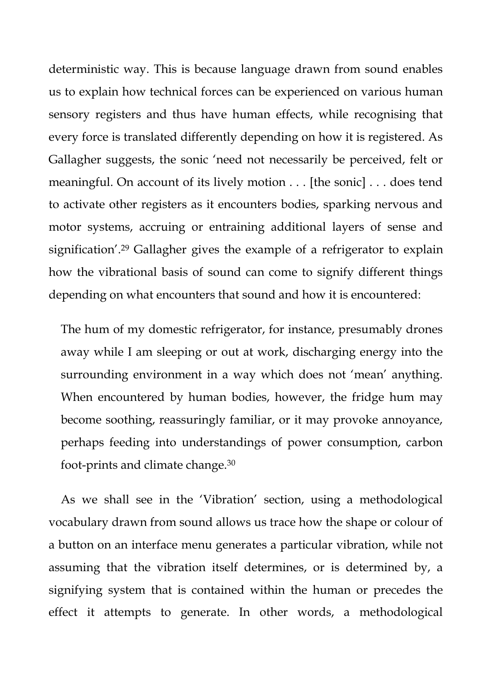deterministic way. This is because language drawn from sound enables us to explain how technical forces can be experienced on various human sensory registers and thus have human effects, while recognising that every force is translated differently depending on how it is registered. As Gallagher suggests, the sonic 'need not necessarily be perceived, felt or meaningful. On account of its lively motion . . . [the sonic] . . . does tend to activate other registers as it encounters bodies, sparking nervous and motor systems, accruing or entraining additional layers of sense and signification'.<sup>29</sup> Gallagher gives the example of a refrigerator to explain how the vibrational basis of sound can come to signify different things depending on what encounters that sound and how it is encountered:

The hum of my domestic refrigerator, for instance, presumably drones away while I am sleeping or out at work, discharging energy into the surrounding environment in a way which does not 'mean' anything. When encountered by human bodies, however, the fridge hum may become soothing, reassuringly familiar, or it may provoke annoyance, perhaps feeding into understandings of power consumption, carbon foot-prints and climate change.<sup>30</sup>

As we shall see in the 'Vibration' section, using a methodological vocabulary drawn from sound allows us trace how the shape or colour of a button on an interface menu generates a particular vibration, while not assuming that the vibration itself determines, or is determined by, a signifying system that is contained within the human or precedes the effect it attempts to generate. In other words, a methodological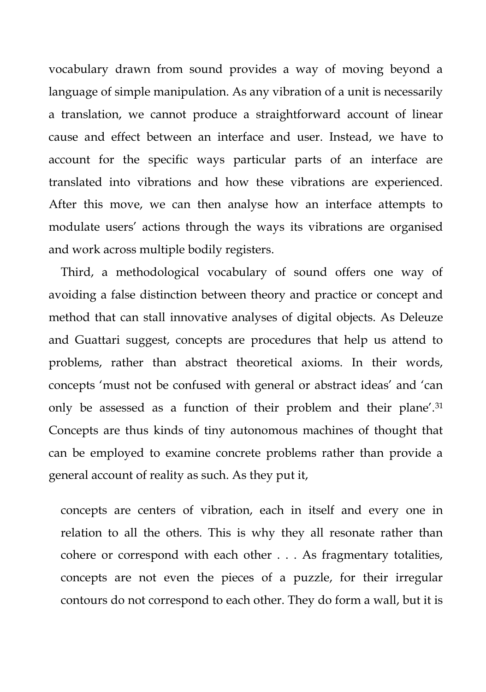vocabulary drawn from sound provides a way of moving beyond a language of simple manipulation. As any vibration of a unit is necessarily a translation, we cannot produce a straightforward account of linear cause and effect between an interface and user. Instead, we have to account for the specific ways particular parts of an interface are translated into vibrations and how these vibrations are experienced. After this move, we can then analyse how an interface attempts to modulate users' actions through the ways its vibrations are organised and work across multiple bodily registers.

Third, a methodological vocabulary of sound offers one way of avoiding a false distinction between theory and practice or concept and method that can stall innovative analyses of digital objects. As Deleuze and Guattari suggest, concepts are procedures that help us attend to problems, rather than abstract theoretical axioms. In their words, concepts 'must not be confused with general or abstract ideas' and 'can only be assessed as a function of their problem and their plane'.<sup>31</sup> Concepts are thus kinds of tiny autonomous machines of thought that can be employed to examine concrete problems rather than provide a general account of reality as such. As they put it,

concepts are centers of vibration, each in itself and every one in relation to all the others. This is why they all resonate rather than cohere or correspond with each other . . . As fragmentary totalities, concepts are not even the pieces of a puzzle, for their irregular contours do not correspond to each other. They do form a wall, but it is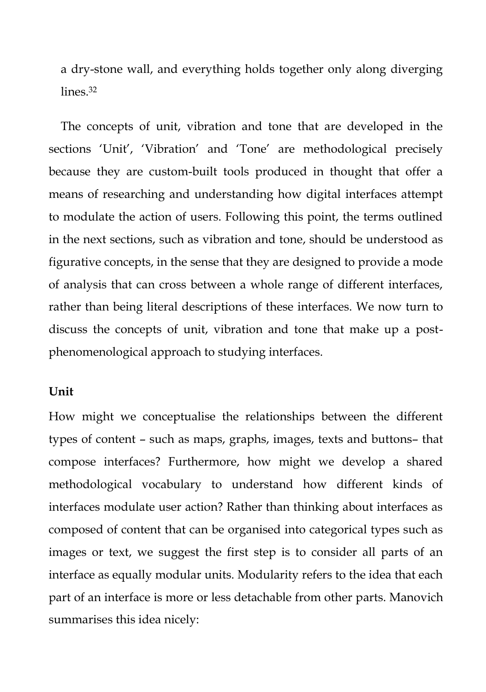a dry-stone wall, and everything holds together only along diverging lines<sup>32</sup>

The concepts of unit, vibration and tone that are developed in the sections 'Unit', 'Vibration' and 'Tone' are methodological precisely because they are custom-built tools produced in thought that offer a means of researching and understanding how digital interfaces attempt to modulate the action of users. Following this point, the terms outlined in the next sections, such as vibration and tone, should be understood as figurative concepts, in the sense that they are designed to provide a mode of analysis that can cross between a whole range of different interfaces, rather than being literal descriptions of these interfaces. We now turn to discuss the concepts of unit, vibration and tone that make up a postphenomenological approach to studying interfaces.

### **Unit**

How might we conceptualise the relationships between the different types of content – such as maps, graphs, images, texts and buttons– that compose interfaces? Furthermore, how might we develop a shared methodological vocabulary to understand how different kinds of interfaces modulate user action? Rather than thinking about interfaces as composed of content that can be organised into categorical types such as images or text, we suggest the first step is to consider all parts of an interface as equally modular units. Modularity refers to the idea that each part of an interface is more or less detachable from other parts. Manovich summarises this idea nicely: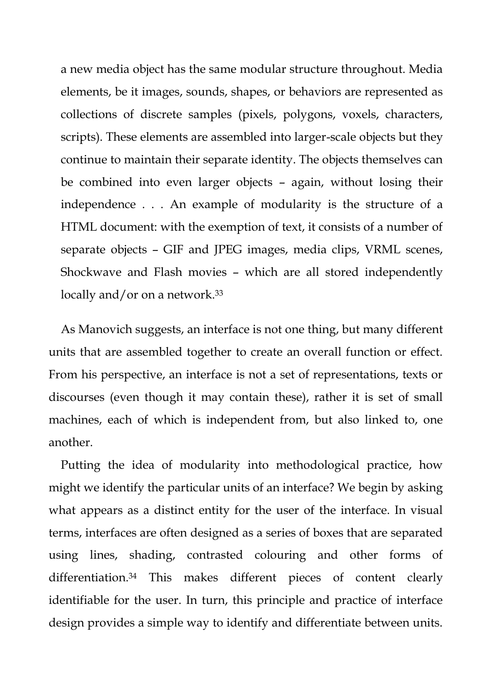a new media object has the same modular structure throughout. Media elements, be it images, sounds, shapes, or behaviors are represented as collections of discrete samples (pixels, polygons, voxels, characters, scripts). These elements are assembled into larger-scale objects but they continue to maintain their separate identity. The objects themselves can be combined into even larger objects – again, without losing their independence . . . An example of modularity is the structure of a HTML document: with the exemption of text, it consists of a number of separate objects – GIF and JPEG images, media clips, VRML scenes, Shockwave and Flash movies – which are all stored independently locally and/or on a network.<sup>33</sup>

As Manovich suggests, an interface is not one thing, but many different units that are assembled together to create an overall function or effect. From his perspective, an interface is not a set of representations, texts or discourses (even though it may contain these), rather it is set of small machines, each of which is independent from, but also linked to, one another.

Putting the idea of modularity into methodological practice, how might we identify the particular units of an interface? We begin by asking what appears as a distinct entity for the user of the interface. In visual terms, interfaces are often designed as a series of boxes that are separated using lines, shading, contrasted colouring and other forms of differentiation.<sup>34</sup> This makes different pieces of content clearly identifiable for the user. In turn, this principle and practice of interface design provides a simple way to identify and differentiate between units.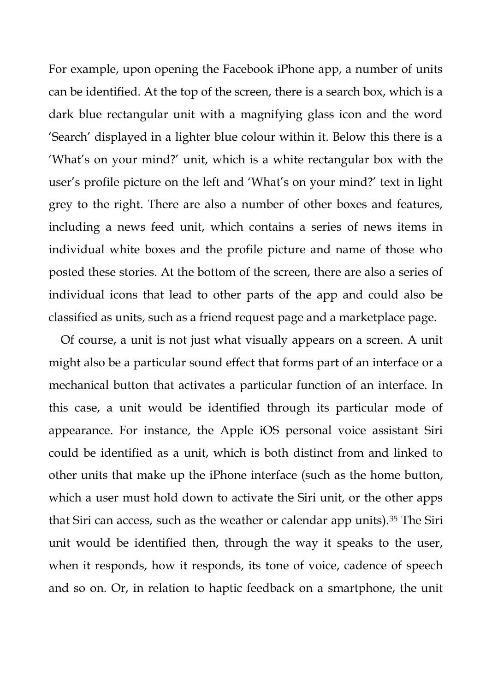For example, upon opening the Facebook iPhone app, a number of units can be identified. At the top of the screen, there is a search box, which is a dark blue rectangular unit with a magnifying glass icon and the word 'Search' displayed in a lighter blue colour within it. Below this there is a 'What's on your mind?' unit, which is a white rectangular box with the user's profile picture on the left and 'What's on your mind?' text in light grey to the right. There are also a number of other boxes and features, including a news feed unit, which contains a series of news items in individual white boxes and the profile picture and name of those who posted these stories. At the bottom of the screen, there are also a series of individual icons that lead to other parts of the app and could also be classified as units, such as a friend request page and a marketplace page.

Of course, a unit is not just what visually appears on a screen. A unit might also be a particular sound effect that forms part of an interface or a mechanical button that activates a particular function of an interface. In this case, a unit would be identified through its particular mode of appearance. For instance, the Apple iOS personal voice assistant Siri could be identified as a unit, which is both distinct from and linked to other units that make up the iPhone interface (such as the home button, which a user must hold down to activate the Siri unit, or the other apps that Siri can access, such as the weather or calendar app units).<sup>35</sup> The Siri unit would be identified then, through the way it speaks to the user, when it responds, how it responds, its tone of voice, cadence of speech and so on. Or, in relation to haptic feedback on a smartphone, the unit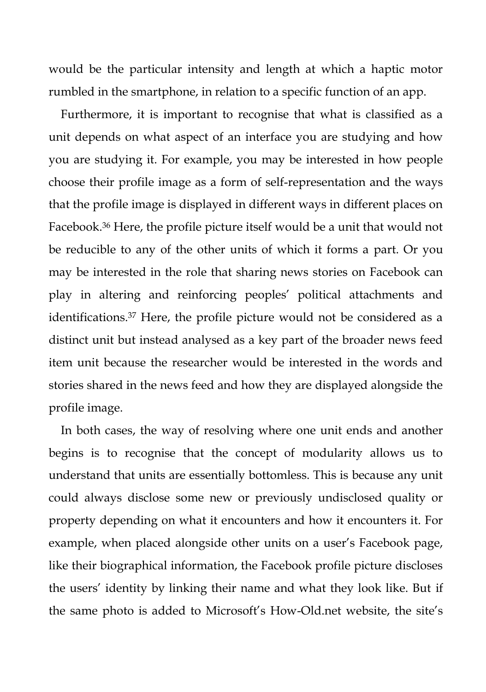would be the particular intensity and length at which a haptic motor rumbled in the smartphone, in relation to a specific function of an app.

Furthermore, it is important to recognise that what is classified as a unit depends on what aspect of an interface you are studying and how you are studying it. For example, you may be interested in how people choose their profile image as a form of self-representation and the ways that the profile image is displayed in different ways in different places on Facebook.<sup>36</sup> Here, the profile picture itself would be a unit that would not be reducible to any of the other units of which it forms a part. Or you may be interested in the role that sharing news stories on Facebook can play in altering and reinforcing peoples' political attachments and identifications.<sup>37</sup> Here, the profile picture would not be considered as a distinct unit but instead analysed as a key part of the broader news feed item unit because the researcher would be interested in the words and stories shared in the news feed and how they are displayed alongside the profile image.

In both cases, the way of resolving where one unit ends and another begins is to recognise that the concept of modularity allows us to understand that units are essentially bottomless. This is because any unit could always disclose some new or previously undisclosed quality or property depending on what it encounters and how it encounters it. For example, when placed alongside other units on a user's Facebook page, like their biographical information, the Facebook profile picture discloses the users' identity by linking their name and what they look like. But if the same photo is added to Microsoft's How-Old.net website, the site's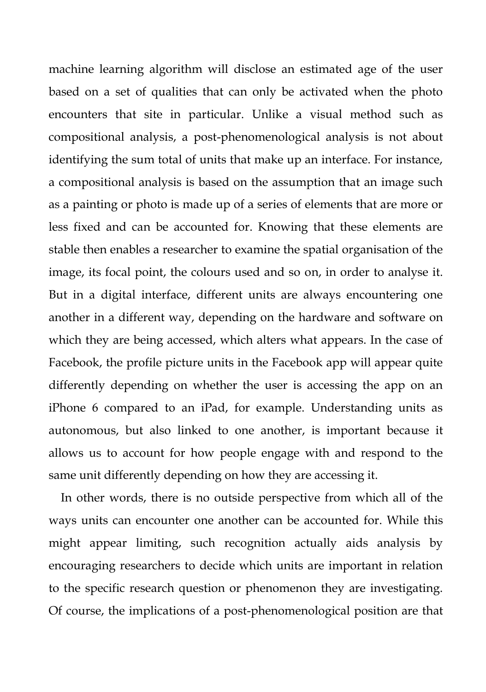machine learning algorithm will disclose an estimated age of the user based on a set of qualities that can only be activated when the photo encounters that site in particular. Unlike a visual method such as compositional analysis, a post-phenomenological analysis is not about identifying the sum total of units that make up an interface. For instance, a compositional analysis is based on the assumption that an image such as a painting or photo is made up of a series of elements that are more or less fixed and can be accounted for. Knowing that these elements are stable then enables a researcher to examine the spatial organisation of the image, its focal point, the colours used and so on, in order to analyse it. But in a digital interface, different units are always encountering one another in a different way, depending on the hardware and software on which they are being accessed, which alters what appears. In the case of Facebook, the profile picture units in the Facebook app will appear quite differently depending on whether the user is accessing the app on an iPhone 6 compared to an iPad, for example. Understanding units as autonomous, but also linked to one another, is important because it allows us to account for how people engage with and respond to the same unit differently depending on how they are accessing it.

In other words, there is no outside perspective from which all of the ways units can encounter one another can be accounted for. While this might appear limiting, such recognition actually aids analysis by encouraging researchers to decide which units are important in relation to the specific research question or phenomenon they are investigating. Of course, the implications of a post-phenomenological position are that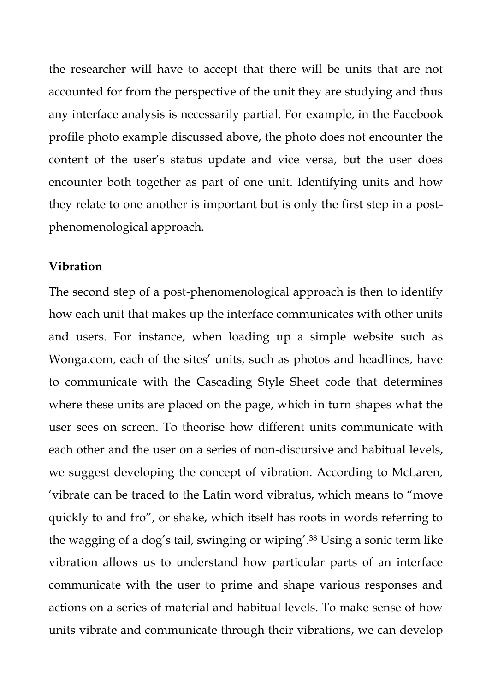the researcher will have to accept that there will be units that are not accounted for from the perspective of the unit they are studying and thus any interface analysis is necessarily partial. For example, in the Facebook profile photo example discussed above, the photo does not encounter the content of the user's status update and vice versa, but the user does encounter both together as part of one unit. Identifying units and how they relate to one another is important but is only the first step in a postphenomenological approach.

#### **Vibration**

The second step of a post-phenomenological approach is then to identify how each unit that makes up the interface communicates with other units and users. For instance, when loading up a simple website such as Wonga.com, each of the sites' units, such as photos and headlines, have to communicate with the Cascading Style Sheet code that determines where these units are placed on the page, which in turn shapes what the user sees on screen. To theorise how different units communicate with each other and the user on a series of non-discursive and habitual levels, we suggest developing the concept of vibration. According to McLaren, 'vibrate can be traced to the Latin word vibratus, which means to "move quickly to and fro", or shake, which itself has roots in words referring to the wagging of a dog's tail, swinging or wiping'.<sup>38</sup> Using a sonic term like vibration allows us to understand how particular parts of an interface communicate with the user to prime and shape various responses and actions on a series of material and habitual levels. To make sense of how units vibrate and communicate through their vibrations, we can develop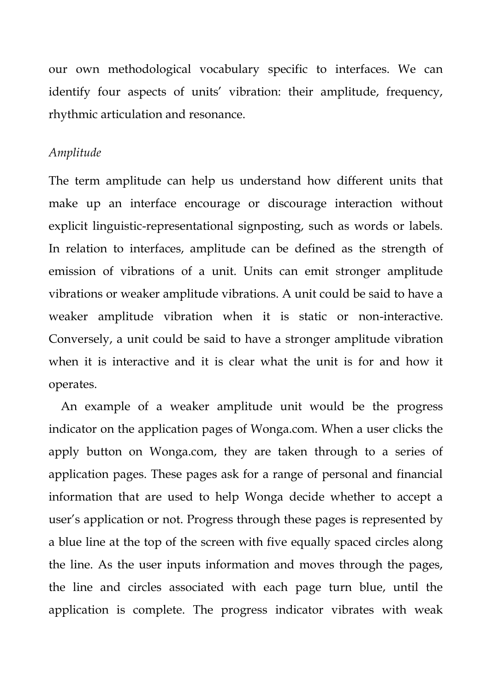our own methodological vocabulary specific to interfaces. We can identify four aspects of units' vibration: their amplitude, frequency, rhythmic articulation and resonance.

#### *Amplitude*

The term amplitude can help us understand how different units that make up an interface encourage or discourage interaction without explicit linguistic-representational signposting, such as words or labels. In relation to interfaces, amplitude can be defined as the strength of emission of vibrations of a unit. Units can emit stronger amplitude vibrations or weaker amplitude vibrations. A unit could be said to have a weaker amplitude vibration when it is static or non-interactive. Conversely, a unit could be said to have a stronger amplitude vibration when it is interactive and it is clear what the unit is for and how it operates.

An example of a weaker amplitude unit would be the progress indicator on the application pages of Wonga.com. When a user clicks the apply button on Wonga.com, they are taken through to a series of application pages. These pages ask for a range of personal and financial information that are used to help Wonga decide whether to accept a user's application or not. Progress through these pages is represented by a blue line at the top of the screen with five equally spaced circles along the line. As the user inputs information and moves through the pages, the line and circles associated with each page turn blue, until the application is complete. The progress indicator vibrates with weak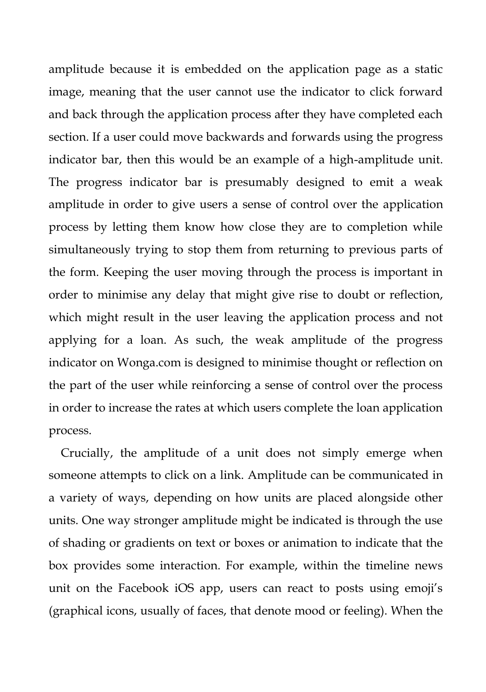amplitude because it is embedded on the application page as a static image, meaning that the user cannot use the indicator to click forward and back through the application process after they have completed each section. If a user could move backwards and forwards using the progress indicator bar, then this would be an example of a high-amplitude unit. The progress indicator bar is presumably designed to emit a weak amplitude in order to give users a sense of control over the application process by letting them know how close they are to completion while simultaneously trying to stop them from returning to previous parts of the form. Keeping the user moving through the process is important in order to minimise any delay that might give rise to doubt or reflection, which might result in the user leaving the application process and not applying for a loan. As such, the weak amplitude of the progress indicator on Wonga.com is designed to minimise thought or reflection on the part of the user while reinforcing a sense of control over the process in order to increase the rates at which users complete the loan application process.

Crucially, the amplitude of a unit does not simply emerge when someone attempts to click on a link. Amplitude can be communicated in a variety of ways, depending on how units are placed alongside other units. One way stronger amplitude might be indicated is through the use of shading or gradients on text or boxes or animation to indicate that the box provides some interaction. For example, within the timeline news unit on the Facebook iOS app, users can react to posts using emoji's (graphical icons, usually of faces, that denote mood or feeling). When the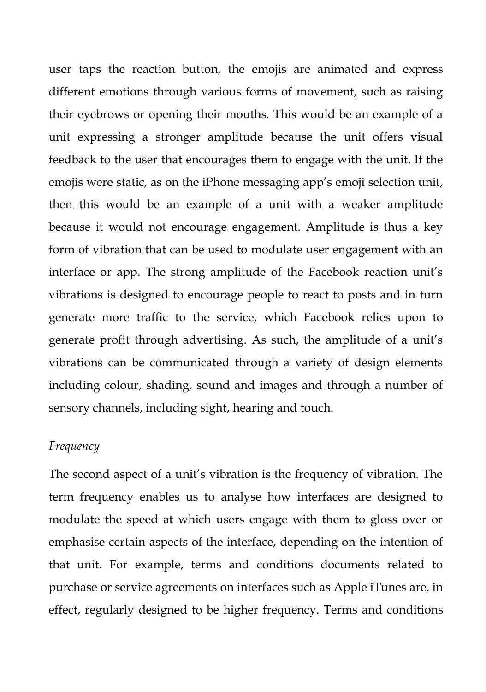user taps the reaction button, the emojis are animated and express different emotions through various forms of movement, such as raising their eyebrows or opening their mouths. This would be an example of a unit expressing a stronger amplitude because the unit offers visual feedback to the user that encourages them to engage with the unit. If the emojis were static, as on the iPhone messaging app's emoji selection unit, then this would be an example of a unit with a weaker amplitude because it would not encourage engagement. Amplitude is thus a key form of vibration that can be used to modulate user engagement with an interface or app. The strong amplitude of the Facebook reaction unit's vibrations is designed to encourage people to react to posts and in turn generate more traffic to the service, which Facebook relies upon to generate profit through advertising. As such, the amplitude of a unit's vibrations can be communicated through a variety of design elements including colour, shading, sound and images and through a number of sensory channels, including sight, hearing and touch.

# *Frequency*

The second aspect of a unit's vibration is the frequency of vibration. The term frequency enables us to analyse how interfaces are designed to modulate the speed at which users engage with them to gloss over or emphasise certain aspects of the interface, depending on the intention of that unit. For example, terms and conditions documents related to purchase or service agreements on interfaces such as Apple iTunes are, in effect, regularly designed to be higher frequency. Terms and conditions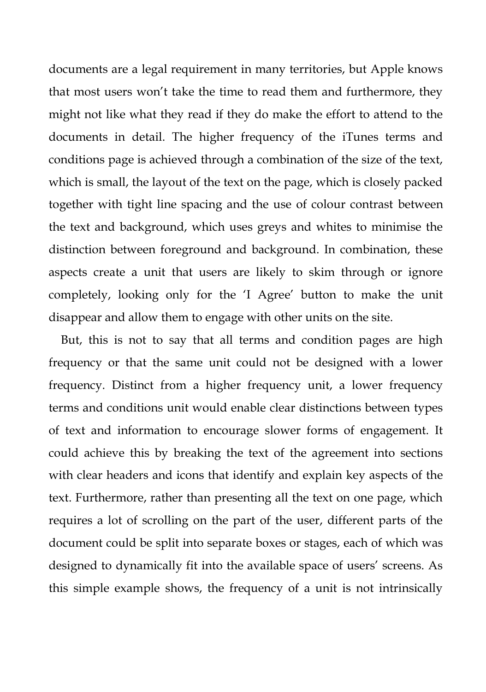documents are a legal requirement in many territories, but Apple knows that most users won't take the time to read them and furthermore, they might not like what they read if they do make the effort to attend to the documents in detail. The higher frequency of the iTunes terms and conditions page is achieved through a combination of the size of the text, which is small, the layout of the text on the page, which is closely packed together with tight line spacing and the use of colour contrast between the text and background, which uses greys and whites to minimise the distinction between foreground and background. In combination, these aspects create a unit that users are likely to skim through or ignore completely, looking only for the 'I Agree' button to make the unit disappear and allow them to engage with other units on the site.

But, this is not to say that all terms and condition pages are high frequency or that the same unit could not be designed with a lower frequency. Distinct from a higher frequency unit, a lower frequency terms and conditions unit would enable clear distinctions between types of text and information to encourage slower forms of engagement. It could achieve this by breaking the text of the agreement into sections with clear headers and icons that identify and explain key aspects of the text. Furthermore, rather than presenting all the text on one page, which requires a lot of scrolling on the part of the user, different parts of the document could be split into separate boxes or stages, each of which was designed to dynamically fit into the available space of users' screens. As this simple example shows, the frequency of a unit is not intrinsically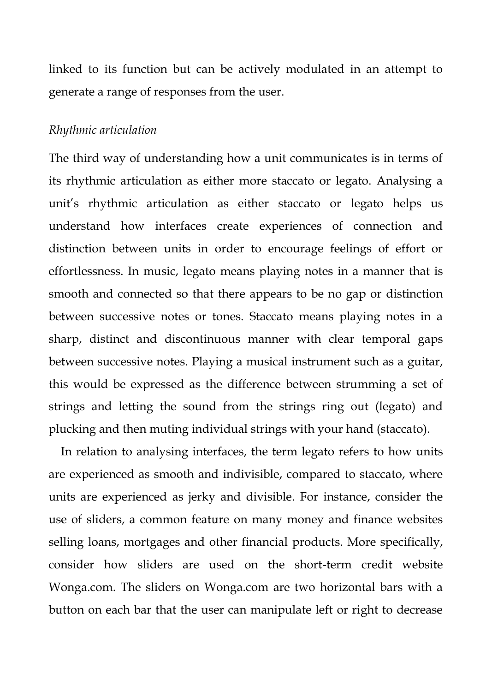linked to its function but can be actively modulated in an attempt to generate a range of responses from the user.

#### *Rhythmic articulation*

The third way of understanding how a unit communicates is in terms of its rhythmic articulation as either more staccato or legato. Analysing a unit's rhythmic articulation as either staccato or legato helps us understand how interfaces create experiences of connection and distinction between units in order to encourage feelings of effort or effortlessness. In music, legato means playing notes in a manner that is smooth and connected so that there appears to be no gap or distinction between successive notes or tones. Staccato means playing notes in a sharp, distinct and discontinuous manner with clear temporal gaps between successive notes. Playing a musical instrument such as a guitar, this would be expressed as the difference between strumming a set of strings and letting the sound from the strings ring out (legato) and plucking and then muting individual strings with your hand (staccato).

In relation to analysing interfaces, the term legato refers to how units are experienced as smooth and indivisible, compared to staccato, where units are experienced as jerky and divisible. For instance, consider the use of sliders, a common feature on many money and finance websites selling loans, mortgages and other financial products. More specifically, consider how sliders are used on the short-term credit website Wonga.com. The sliders on Wonga.com are two horizontal bars with a button on each bar that the user can manipulate left or right to decrease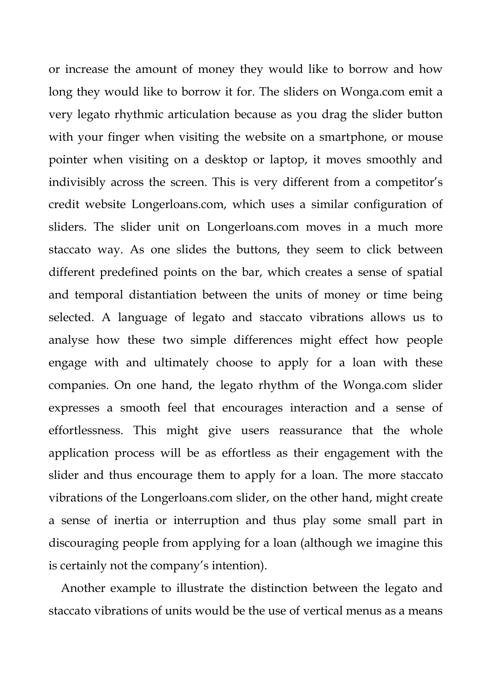or increase the amount of money they would like to borrow and how long they would like to borrow it for. The sliders on Wonga.com emit a very legato rhythmic articulation because as you drag the slider button with your finger when visiting the website on a smartphone, or mouse pointer when visiting on a desktop or laptop, it moves smoothly and indivisibly across the screen. This is very different from a competitor's credit website Longerloans.com, which uses a similar configuration of sliders. The slider unit on Longerloans.com moves in a much more staccato way. As one slides the buttons, they seem to click between different predefined points on the bar, which creates a sense of spatial and temporal distantiation between the units of money or time being selected. A language of legato and staccato vibrations allows us to analyse how these two simple differences might effect how people engage with and ultimately choose to apply for a loan with these companies. On one hand, the legato rhythm of the Wonga.com slider expresses a smooth feel that encourages interaction and a sense of effortlessness. This might give users reassurance that the whole application process will be as effortless as their engagement with the slider and thus encourage them to apply for a loan. The more staccato vibrations of the Longerloans.com slider, on the other hand, might create a sense of inertia or interruption and thus play some small part in discouraging people from applying for a loan (although we imagine this is certainly not the company's intention).

Another example to illustrate the distinction between the legato and staccato vibrations of units would be the use of vertical menus as a means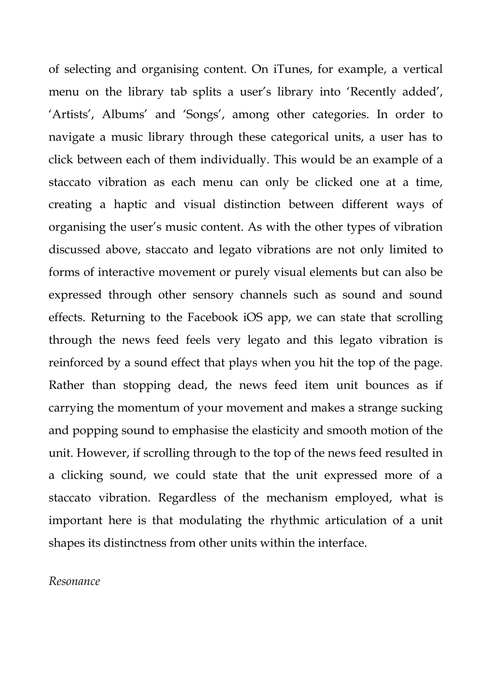of selecting and organising content. On iTunes, for example, a vertical menu on the library tab splits a user's library into 'Recently added', 'Artists', Albums' and 'Songs', among other categories. In order to navigate a music library through these categorical units, a user has to click between each of them individually. This would be an example of a staccato vibration as each menu can only be clicked one at a time, creating a haptic and visual distinction between different ways of organising the user's music content. As with the other types of vibration discussed above, staccato and legato vibrations are not only limited to forms of interactive movement or purely visual elements but can also be expressed through other sensory channels such as sound and sound effects. Returning to the Facebook iOS app, we can state that scrolling through the news feed feels very legato and this legato vibration is reinforced by a sound effect that plays when you hit the top of the page. Rather than stopping dead, the news feed item unit bounces as if carrying the momentum of your movement and makes a strange sucking and popping sound to emphasise the elasticity and smooth motion of the unit. However, if scrolling through to the top of the news feed resulted in a clicking sound, we could state that the unit expressed more of a staccato vibration. Regardless of the mechanism employed, what is important here is that modulating the rhythmic articulation of a unit shapes its distinctness from other units within the interface.

#### *Resonance*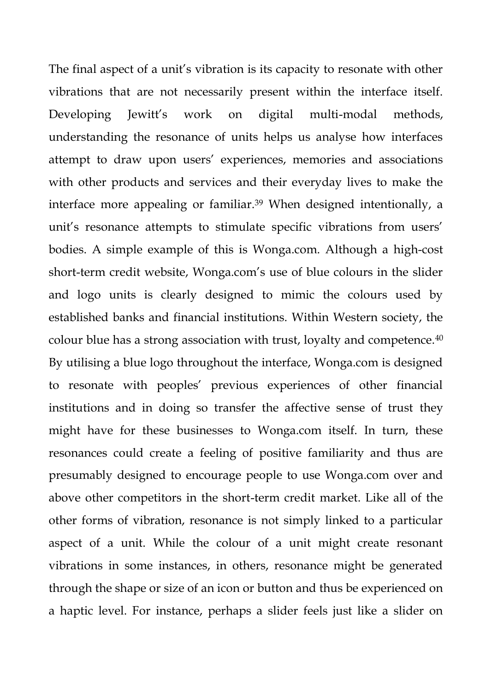The final aspect of a unit's vibration is its capacity to resonate with other vibrations that are not necessarily present within the interface itself. Developing Jewitt's work on digital multi-modal methods, understanding the resonance of units helps us analyse how interfaces attempt to draw upon users' experiences, memories and associations with other products and services and their everyday lives to make the interface more appealing or familiar.<sup>39</sup> When designed intentionally, a unit's resonance attempts to stimulate specific vibrations from users' bodies. A simple example of this is Wonga.com. Although a high-cost short-term credit website, Wonga.com's use of blue colours in the slider and logo units is clearly designed to mimic the colours used by established banks and financial institutions. Within Western society, the colour blue has a strong association with trust, loyalty and competence.<sup>40</sup> By utilising a blue logo throughout the interface, Wonga.com is designed to resonate with peoples' previous experiences of other financial institutions and in doing so transfer the affective sense of trust they might have for these businesses to Wonga.com itself. In turn, these resonances could create a feeling of positive familiarity and thus are presumably designed to encourage people to use Wonga.com over and above other competitors in the short-term credit market. Like all of the other forms of vibration, resonance is not simply linked to a particular aspect of a unit. While the colour of a unit might create resonant vibrations in some instances, in others, resonance might be generated through the shape or size of an icon or button and thus be experienced on a haptic level. For instance, perhaps a slider feels just like a slider on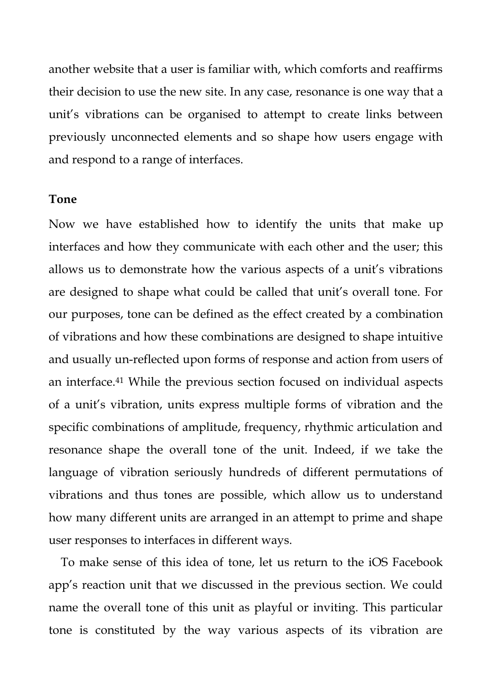another website that a user is familiar with, which comforts and reaffirms their decision to use the new site. In any case, resonance is one way that a unit's vibrations can be organised to attempt to create links between previously unconnected elements and so shape how users engage with and respond to a range of interfaces.

#### **Tone**

Now we have established how to identify the units that make up interfaces and how they communicate with each other and the user; this allows us to demonstrate how the various aspects of a unit's vibrations are designed to shape what could be called that unit's overall tone. For our purposes, tone can be defined as the effect created by a combination of vibrations and how these combinations are designed to shape intuitive and usually un-reflected upon forms of response and action from users of an interface.<sup>41</sup> While the previous section focused on individual aspects of a unit's vibration, units express multiple forms of vibration and the specific combinations of amplitude, frequency, rhythmic articulation and resonance shape the overall tone of the unit. Indeed, if we take the language of vibration seriously hundreds of different permutations of vibrations and thus tones are possible, which allow us to understand how many different units are arranged in an attempt to prime and shape user responses to interfaces in different ways.

To make sense of this idea of tone, let us return to the iOS Facebook app's reaction unit that we discussed in the previous section. We could name the overall tone of this unit as playful or inviting. This particular tone is constituted by the way various aspects of its vibration are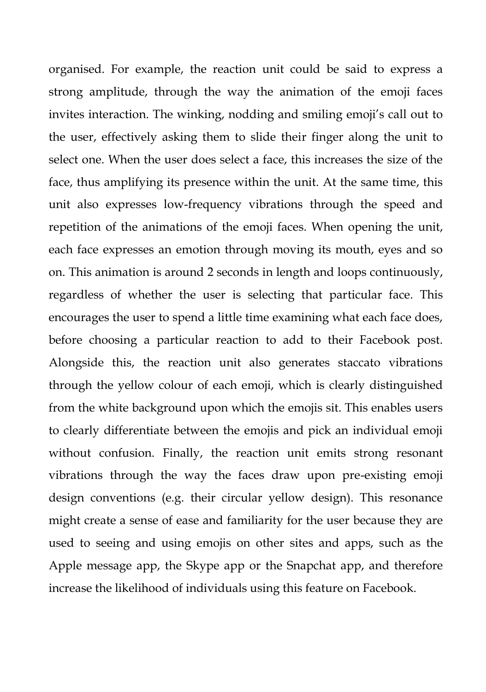organised. For example, the reaction unit could be said to express a strong amplitude, through the way the animation of the emoji faces invites interaction. The winking, nodding and smiling emoji's call out to the user, effectively asking them to slide their finger along the unit to select one. When the user does select a face, this increases the size of the face, thus amplifying its presence within the unit. At the same time, this unit also expresses low-frequency vibrations through the speed and repetition of the animations of the emoji faces. When opening the unit, each face expresses an emotion through moving its mouth, eyes and so on. This animation is around 2 seconds in length and loops continuously, regardless of whether the user is selecting that particular face. This encourages the user to spend a little time examining what each face does, before choosing a particular reaction to add to their Facebook post. Alongside this, the reaction unit also generates staccato vibrations through the yellow colour of each emoji, which is clearly distinguished from the white background upon which the emojis sit. This enables users to clearly differentiate between the emojis and pick an individual emoji without confusion. Finally, the reaction unit emits strong resonant vibrations through the way the faces draw upon pre-existing emoji design conventions (e.g. their circular yellow design). This resonance might create a sense of ease and familiarity for the user because they are used to seeing and using emojis on other sites and apps, such as the Apple message app, the Skype app or the Snapchat app, and therefore increase the likelihood of individuals using this feature on Facebook.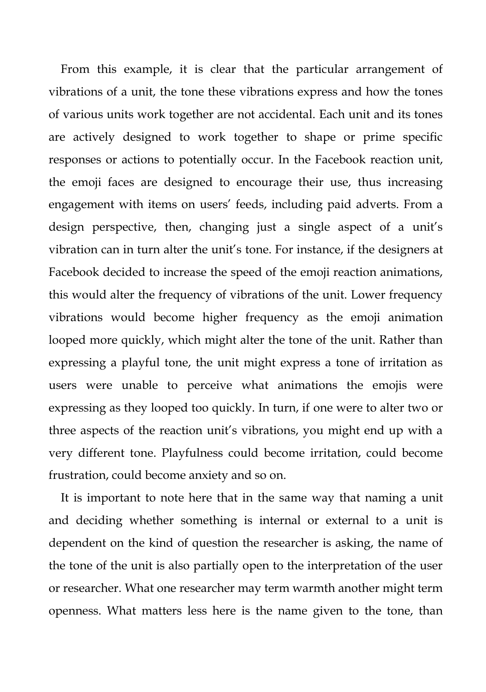From this example, it is clear that the particular arrangement of vibrations of a unit, the tone these vibrations express and how the tones of various units work together are not accidental. Each unit and its tones are actively designed to work together to shape or prime specific responses or actions to potentially occur. In the Facebook reaction unit, the emoji faces are designed to encourage their use, thus increasing engagement with items on users' feeds, including paid adverts. From a design perspective, then, changing just a single aspect of a unit's vibration can in turn alter the unit's tone. For instance, if the designers at Facebook decided to increase the speed of the emoji reaction animations, this would alter the frequency of vibrations of the unit. Lower frequency vibrations would become higher frequency as the emoji animation looped more quickly, which might alter the tone of the unit. Rather than expressing a playful tone, the unit might express a tone of irritation as users were unable to perceive what animations the emojis were expressing as they looped too quickly. In turn, if one were to alter two or three aspects of the reaction unit's vibrations, you might end up with a very different tone. Playfulness could become irritation, could become frustration, could become anxiety and so on.

It is important to note here that in the same way that naming a unit and deciding whether something is internal or external to a unit is dependent on the kind of question the researcher is asking, the name of the tone of the unit is also partially open to the interpretation of the user or researcher. What one researcher may term warmth another might term openness. What matters less here is the name given to the tone, than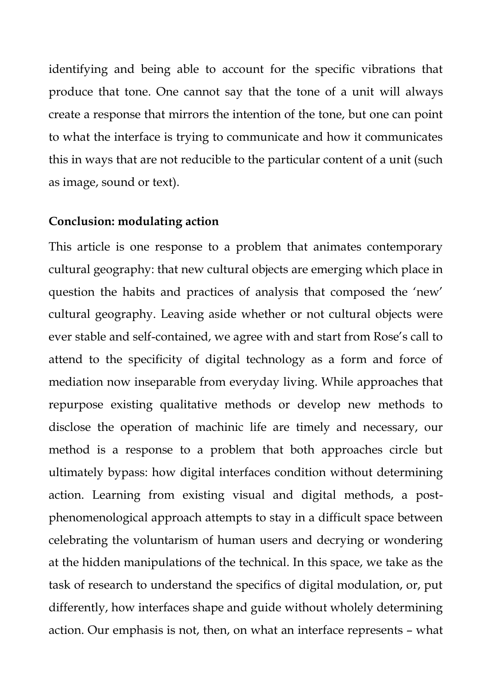identifying and being able to account for the specific vibrations that produce that tone. One cannot say that the tone of a unit will always create a response that mirrors the intention of the tone, but one can point to what the interface is trying to communicate and how it communicates this in ways that are not reducible to the particular content of a unit (such as image, sound or text).

#### **Conclusion: modulating action**

This article is one response to a problem that animates contemporary cultural geography: that new cultural objects are emerging which place in question the habits and practices of analysis that composed the 'new' cultural geography. Leaving aside whether or not cultural objects were ever stable and self-contained, we agree with and start from Rose's call to attend to the specificity of digital technology as a form and force of mediation now inseparable from everyday living. While approaches that repurpose existing qualitative methods or develop new methods to disclose the operation of machinic life are timely and necessary, our method is a response to a problem that both approaches circle but ultimately bypass: how digital interfaces condition without determining action. Learning from existing visual and digital methods, a postphenomenological approach attempts to stay in a difficult space between celebrating the voluntarism of human users and decrying or wondering at the hidden manipulations of the technical. In this space, we take as the task of research to understand the specifics of digital modulation, or, put differently, how interfaces shape and guide without wholely determining action. Our emphasis is not, then, on what an interface represents – what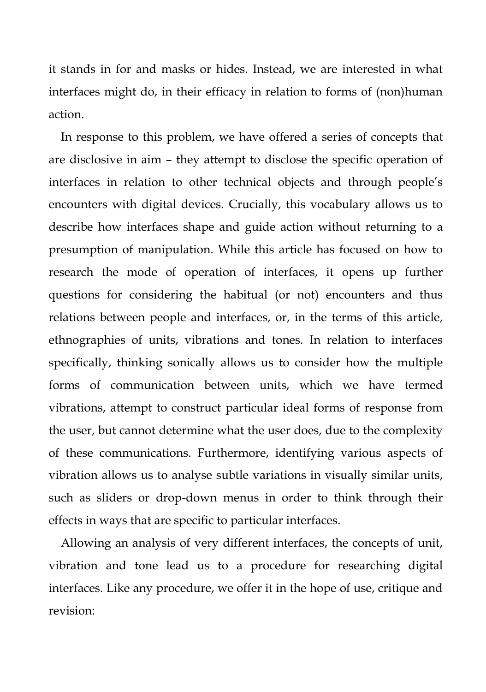it stands in for and masks or hides. Instead, we are interested in what interfaces might do, in their efficacy in relation to forms of (non)human action.

In response to this problem, we have offered a series of concepts that are disclosive in aim – they attempt to disclose the specific operation of interfaces in relation to other technical objects and through people's encounters with digital devices. Crucially, this vocabulary allows us to describe how interfaces shape and guide action without returning to a presumption of manipulation. While this article has focused on how to research the mode of operation of interfaces, it opens up further questions for considering the habitual (or not) encounters and thus relations between people and interfaces, or, in the terms of this article, ethnographies of units, vibrations and tones. In relation to interfaces specifically, thinking sonically allows us to consider how the multiple forms of communication between units, which we have termed vibrations, attempt to construct particular ideal forms of response from the user, but cannot determine what the user does, due to the complexity of these communications. Furthermore, identifying various aspects of vibration allows us to analyse subtle variations in visually similar units, such as sliders or drop-down menus in order to think through their effects in ways that are specific to particular interfaces.

Allowing an analysis of very different interfaces, the concepts of unit, vibration and tone lead us to a procedure for researching digital interfaces. Like any procedure, we offer it in the hope of use, critique and revision: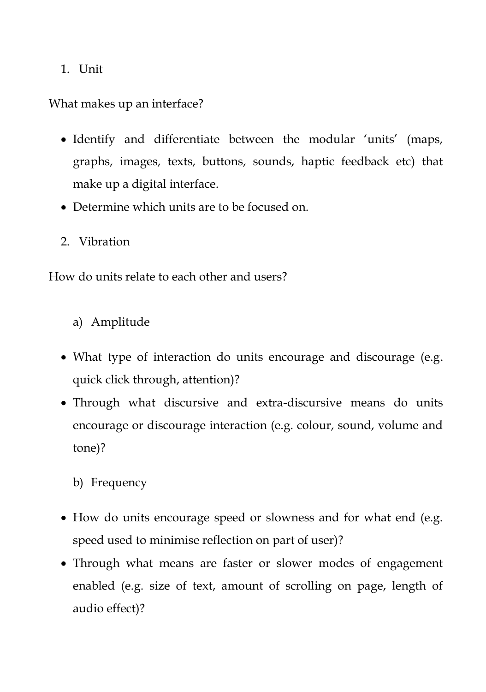1. Unit

What makes up an interface?

- Identify and differentiate between the modular 'units' (maps, graphs, images, texts, buttons, sounds, haptic feedback etc) that make up a digital interface.
- Determine which units are to be focused on.
- 2. Vibration

How do units relate to each other and users?

- a) Amplitude
- What type of interaction do units encourage and discourage (e.g. quick click through, attention)?
- Through what discursive and extra-discursive means do units encourage or discourage interaction (e.g. colour, sound, volume and tone)?

# b) Frequency

- How do units encourage speed or slowness and for what end (e.g. speed used to minimise reflection on part of user)?
- Through what means are faster or slower modes of engagement enabled (e.g. size of text, amount of scrolling on page, length of audio effect)?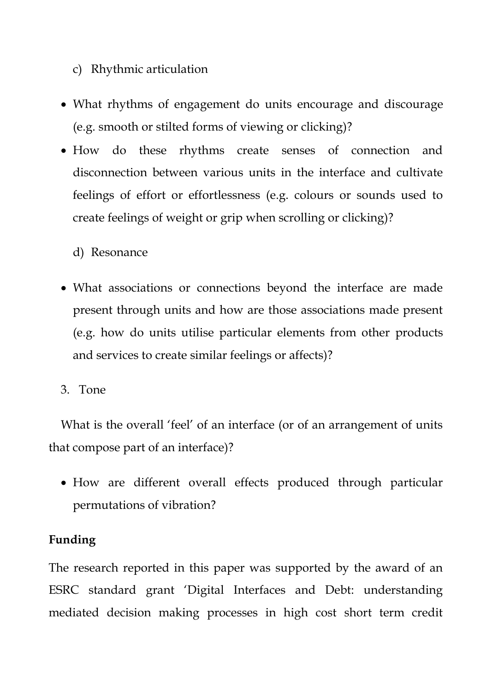- c) Rhythmic articulation
- What rhythms of engagement do units encourage and discourage (e.g. smooth or stilted forms of viewing or clicking)?
- How do these rhythms create senses of connection and disconnection between various units in the interface and cultivate feelings of effort or effortlessness (e.g. colours or sounds used to create feelings of weight or grip when scrolling or clicking)?

d) Resonance

- What associations or connections beyond the interface are made present through units and how are those associations made present (e.g. how do units utilise particular elements from other products and services to create similar feelings or affects)?
- 3. Tone

What is the overall 'feel' of an interface (or of an arrangement of units that compose part of an interface)?

 How are different overall effects produced through particular permutations of vibration?

# **Funding**

The research reported in this paper was supported by the award of an ESRC standard grant 'Digital Interfaces and Debt: understanding mediated decision making processes in high cost short term credit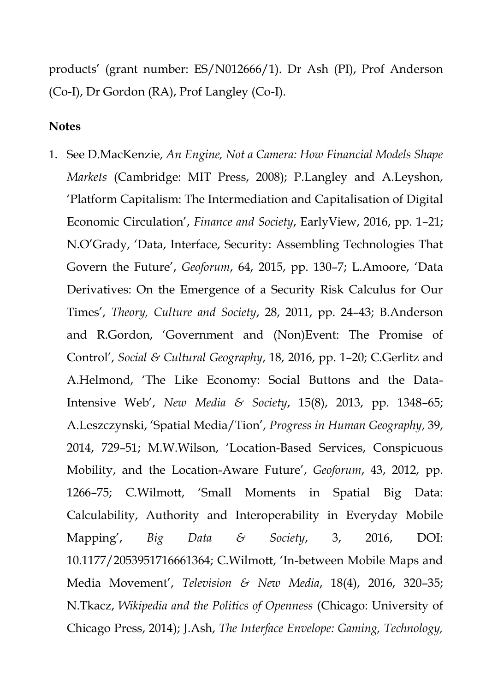products' (grant number: ES/N012666/1). Dr Ash (PI), Prof Anderson (Co-I), Dr Gordon (RA), Prof Langley (Co-I).

#### **Notes**

1. See D.MacKenzie, *An Engine, Not a Camera: How Financial Models Shape Markets* (Cambridge: MIT Press, 2008); P.Langley and A.Leyshon, 'Platform Capitalism: The Intermediation and Capitalisation of Digital Economic Circulation', *Finance and Society*, EarlyView, 2016, pp. 1–21; N.O'Grady, 'Data, Interface, Security: Assembling Technologies That Govern the Future', *Geoforum*, 64, 2015, pp. 130–7; L.Amoore, 'Data Derivatives: On the Emergence of a Security Risk Calculus for Our Times', *Theory, Culture and Society*, 28, 2011, pp. 24–43; B.Anderson and R.Gordon, 'Government and (Non)Event: The Promise of Control', *Social & Cultural Geography*, 18, 2016, pp. 1–20; C.Gerlitz and A.Helmond, 'The Like Economy: Social Buttons and the Data-Intensive Web', *New Media & Society*, 15(8), 2013, pp. 1348–65; A.Leszczynski, 'Spatial Media/Tion', *Progress in Human Geography*, 39, 2014, 729–51; M.W.Wilson, 'Location-Based Services, Conspicuous Mobility, and the Location-Aware Future', *Geoforum*, 43, 2012, pp. 1266–75; C.Wilmott, 'Small Moments in Spatial Big Data: Calculability, Authority and Interoperability in Everyday Mobile Mapping', *Big Data & Society*, 3, 2016, DOI: 10.1177/2053951716661364; C.Wilmott, 'In-between Mobile Maps and Media Movement', *Television & New Media*, 18(4), 2016, 320–35; N.Tkacz, *Wikipedia and the Politics of Openness* (Chicago: University of Chicago Press, 2014); J.Ash, *The Interface Envelope: Gaming, Technology,*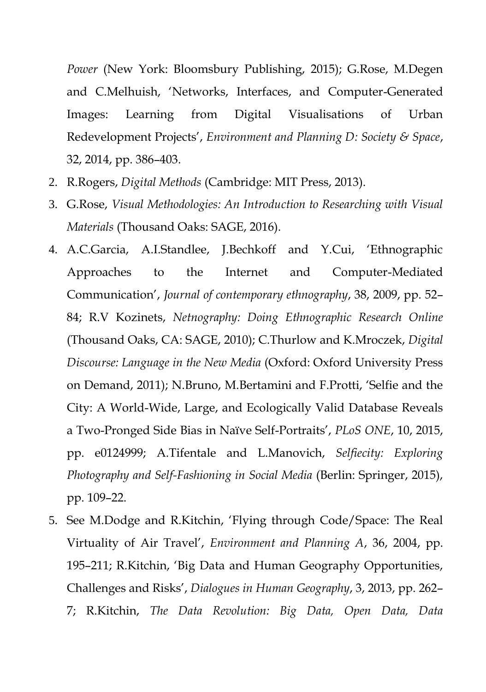*Power* (New York: Bloomsbury Publishing, 2015); G.Rose, M.Degen and C.Melhuish, 'Networks, Interfaces, and Computer-Generated Images: Learning from Digital Visualisations of Urban Redevelopment Projects', *Environment and Planning D: Society & Space*, 32, 2014, pp. 386–403.

- 2. R.Rogers, *Digital Methods* (Cambridge: MIT Press, 2013).
- 3. G.Rose, *Visual Methodologies: An Introduction to Researching with Visual Materials* (Thousand Oaks: SAGE, 2016).
- 4. A.C.Garcia, A.I.Standlee, J.Bechkoff and Y.Cui, 'Ethnographic Approaches to the Internet and Computer-Mediated Communication', *Journal of contemporary ethnography*, 38, 2009, pp. 52– 84; R.V Kozinets, *Netnography: Doing Ethnographic Research Online* (Thousand Oaks, CA: SAGE, 2010); C.Thurlow and K.Mroczek, *Digital Discourse: Language in the New Media* (Oxford: Oxford University Press on Demand, 2011); N.Bruno, M.Bertamini and F.Protti, 'Selfie and the City: A World-Wide, Large, and Ecologically Valid Database Reveals a Two-Pronged Side Bias in Naïve Self-Portraits', *PLoS ONE*, 10, 2015, pp. e0124999; A.Tifentale and L.Manovich, *Selfiecity: Exploring Photography and Self-Fashioning in Social Media* (Berlin: Springer, 2015), pp. 109–22.
- 5. See M.Dodge and R.Kitchin, 'Flying through Code/Space: The Real Virtuality of Air Travel', *Environment and Planning A*, 36, 2004, pp. 195–211; R.Kitchin, 'Big Data and Human Geography Opportunities, Challenges and Risks', *Dialogues in Human Geography*, 3, 2013, pp. 262– 7; R.Kitchin, *The Data Revolution: Big Data, Open Data, Data*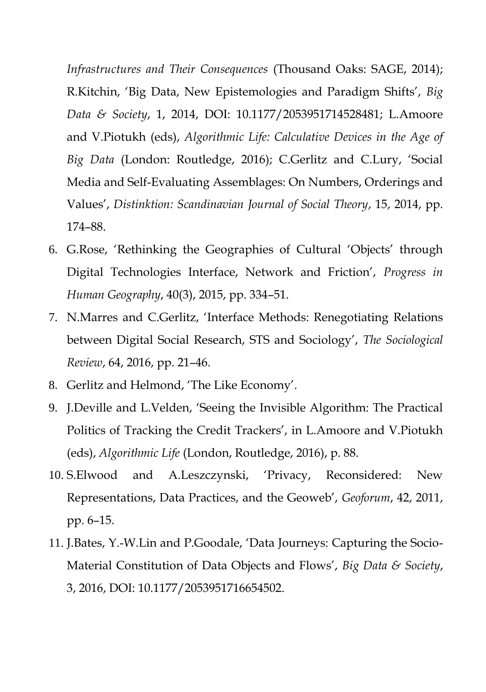*Infrastructures and Their Consequences* (Thousand Oaks: SAGE, 2014); R.Kitchin, 'Big Data, New Epistemologies and Paradigm Shifts', *Big Data & Society*, 1, 2014, DOI: 10.1177/2053951714528481; L.Amoore and V.Piotukh (eds), *Algorithmic Life: Calculative Devices in the Age of Big Data* (London: Routledge, 2016); C.Gerlitz and C.Lury, 'Social Media and Self-Evaluating Assemblages: On Numbers, Orderings and Values', *Distinktion: Scandinavian Journal of Social Theory*, 15, 2014, pp. 174–88.

- 6. G.Rose, 'Rethinking the Geographies of Cultural 'Objects' through Digital Technologies Interface, Network and Friction', *Progress in Human Geography*, 40(3), 2015, pp. 334–51.
- 7. N.Marres and C.Gerlitz, 'Interface Methods: Renegotiating Relations between Digital Social Research, STS and Sociology', *The Sociological Review*, 64, 2016, pp. 21–46.
- 8. Gerlitz and Helmond, 'The Like Economy'.
- 9. J.Deville and L.Velden, 'Seeing the Invisible Algorithm: The Practical Politics of Tracking the Credit Trackers', in L.Amoore and V.Piotukh (eds), *Algorithmic Life* (London, Routledge, 2016), p. 88.
- 10. S.Elwood and A.Leszczynski, 'Privacy, Reconsidered: New Representations, Data Practices, and the Geoweb', *Geoforum*, 42, 2011, pp. 6–15.
- 11. J.Bates, Y.-W.Lin and P.Goodale, 'Data Journeys: Capturing the Socio-Material Constitution of Data Objects and Flows', *Big Data & Society*, 3, 2016, DOI: 10.1177/2053951716654502.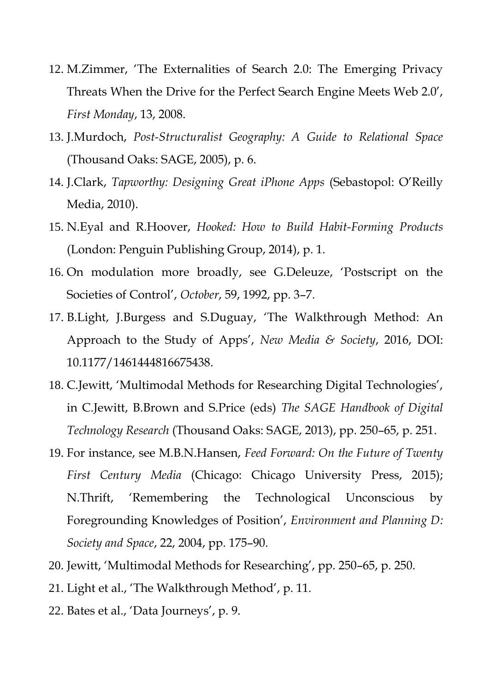- 12. M.Zimmer, 'The Externalities of Search 2.0: The Emerging Privacy Threats When the Drive for the Perfect Search Engine Meets Web 2.0', *First Monday*, 13, 2008.
- 13. J.Murdoch, *Post-Structuralist Geography: A Guide to Relational Space* (Thousand Oaks: SAGE, 2005), p. 6.
- 14. J.Clark, *Tapworthy: Designing Great iPhone Apps* (Sebastopol: O'Reilly Media, 2010).
- 15. N.Eyal and R.Hoover, *Hooked: How to Build Habit-Forming Products* (London: Penguin Publishing Group, 2014), p. 1.
- 16. On modulation more broadly, see G.Deleuze, 'Postscript on the Societies of Control', *October*, 59, 1992, pp. 3–7.
- 17. B.Light, J.Burgess and S.Duguay, 'The Walkthrough Method: An Approach to the Study of Apps', *New Media & Society*, 2016, DOI: 10.1177/1461444816675438.
- 18. C.Jewitt, 'Multimodal Methods for Researching Digital Technologies', in C.Jewitt, B.Brown and S.Price (eds) *The SAGE Handbook of Digital Technology Research* (Thousand Oaks: SAGE, 2013), pp. 250–65, p. 251.
- 19. For instance, see M.B.N.Hansen, *Feed Forward: On the Future of Twenty First Century Media* (Chicago: Chicago University Press, 2015); N.Thrift, 'Remembering the Technological Unconscious by Foregrounding Knowledges of Position', *Environment and Planning D: Society and Space*, 22, 2004, pp. 175–90.
- 20. Jewitt, 'Multimodal Methods for Researching', pp. 250–65, p. 250.
- 21. Light et al., 'The Walkthrough Method', p. 11.
- 22. Bates et al., 'Data Journeys', p. 9.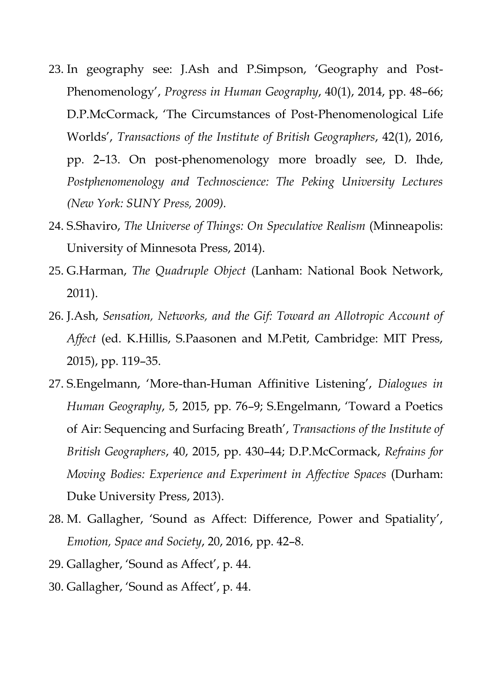- 23. In geography see: J.Ash and P.Simpson, 'Geography and Post-Phenomenology', *Progress in Human Geography*, 40(1), 2014, pp. 48–66; D.P.McCormack, 'The Circumstances of Post‐Phenomenological Life Worlds', *Transactions of the Institute of British Geographers*, 42(1), 2016, pp. 2–13. On post-phenomenology more broadly see, D. Ihde, *Postphenomenology and Technoscience: The Peking University Lectures (New York: SUNY Press, 2009).*
- 24. S.Shaviro, *The Universe of Things: On Speculative Realism* (Minneapolis: University of Minnesota Press, 2014).
- 25. G.Harman, *The Quadruple Object* (Lanham: National Book Network, 2011).
- 26. J.Ash, *Sensation, Networks, and the Gif: Toward an Allotropic Account of Affect* (ed. K.Hillis, S.Paasonen and M.Petit, Cambridge: MIT Press, 2015), pp. 119–35.
- 27. S.Engelmann, 'More-than-Human Affinitive Listening', *Dialogues in Human Geography*, 5, 2015, pp. 76–9; S.Engelmann, 'Toward a Poetics of Air: Sequencing and Surfacing Breath', *Transactions of the Institute of British Geographers*, 40, 2015, pp. 430–44; D.P.McCormack, *Refrains for Moving Bodies: Experience and Experiment in Affective Spaces* (Durham: Duke University Press, 2013).
- 28. M. Gallagher, 'Sound as Affect: Difference, Power and Spatiality', *Emotion, Space and Society*, 20, 2016, pp. 42–8.
- 29. Gallagher, 'Sound as Affect', p. 44.
- 30. Gallagher, 'Sound as Affect', p. 44.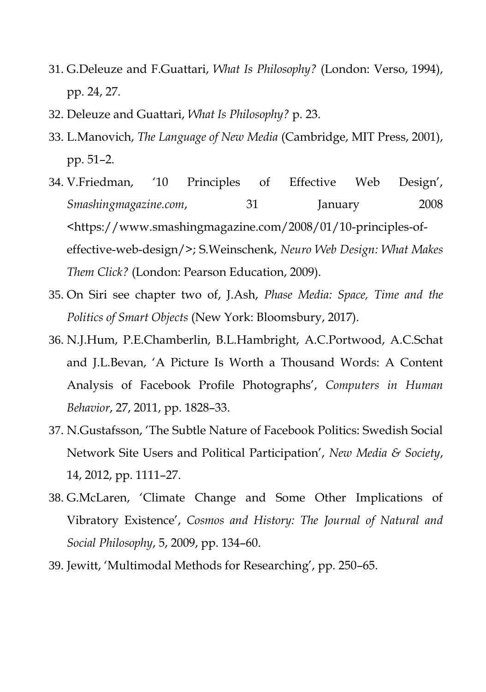- 31. G.Deleuze and F.Guattari, *What Is Philosophy?* (London: Verso, 1994), pp. 24, 27.
- 32. Deleuze and Guattari, *What Is Philosophy?* p. 23.
- 33. L.Manovich, *The Language of New Media* (Cambridge, MIT Press, 2001), pp. 51–2.
- 34. V.Friedman, '10 Principles of Effective Web Design', *Smashingmagazine.com*, 31 January 2008 <https://www.smashingmagazine.com/2008/01/10-principles-ofeffective-web-design/>; S.Weinschenk, *Neuro Web Design: What Makes Them Click?* (London: Pearson Education, 2009).
- 35. On Siri see chapter two of, J.Ash, *Phase Media: Space, Time and the Politics of Smart Objects* (New York: Bloomsbury, 2017).
- 36. N.J.Hum, P.E.Chamberlin, B.L.Hambright, A.C.Portwood, A.C.Schat and J.L.Bevan, 'A Picture Is Worth a Thousand Words: A Content Analysis of Facebook Profile Photographs', *Computers in Human Behavior*, 27, 2011, pp. 1828–33.
- 37. N.Gustafsson, 'The Subtle Nature of Facebook Politics: Swedish Social Network Site Users and Political Participation', *New Media & Society*, 14, 2012, pp. 1111–27.
- 38. G.McLaren, 'Climate Change and Some Other Implications of Vibratory Existence', *Cosmos and History: The Journal of Natural and Social Philosophy*, 5, 2009, pp. 134–60.
- 39. Jewitt, 'Multimodal Methods for Researching', pp. 250–65.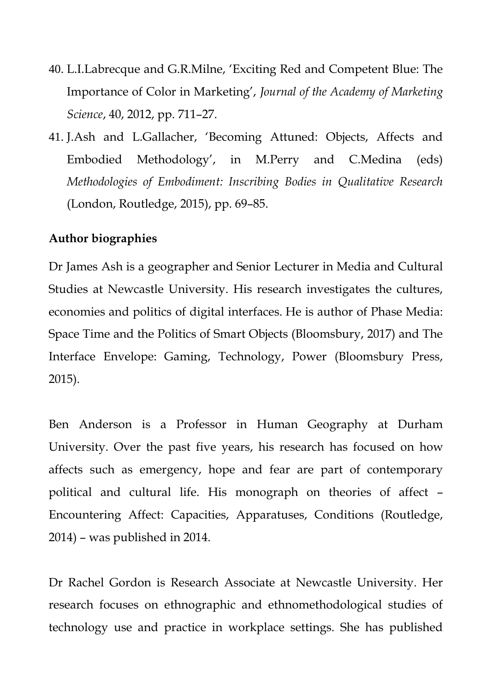- 40. L.I.Labrecque and G.R.Milne, 'Exciting Red and Competent Blue: The Importance of Color in Marketing', *Journal of the Academy of Marketing Science*, 40, 2012, pp. 711–27.
- 41. J.Ash and L.Gallacher, 'Becoming Attuned: Objects, Affects and Embodied Methodology', in M.Perry and C.Medina (eds) *Methodologies of Embodiment: Inscribing Bodies in Qualitative Research* (London, Routledge, 2015), pp. 69–85.

# **Author biographies**

Dr James Ash is a geographer and Senior Lecturer in Media and Cultural Studies at Newcastle University. His research investigates the cultures, economies and politics of digital interfaces. He is author of Phase Media: Space Time and the Politics of Smart Objects (Bloomsbury, 2017) and The Interface Envelope: Gaming, Technology, Power (Bloomsbury Press, 2015).

Ben Anderson is a Professor in Human Geography at Durham University. Over the past five years, his research has focused on how affects such as emergency, hope and fear are part of contemporary political and cultural life. His monograph on theories of affect – Encountering Affect: Capacities, Apparatuses, Conditions (Routledge, 2014) – was published in 2014.

Dr Rachel Gordon is Research Associate at Newcastle University. Her research focuses on ethnographic and ethnomethodological studies of technology use and practice in workplace settings. She has published